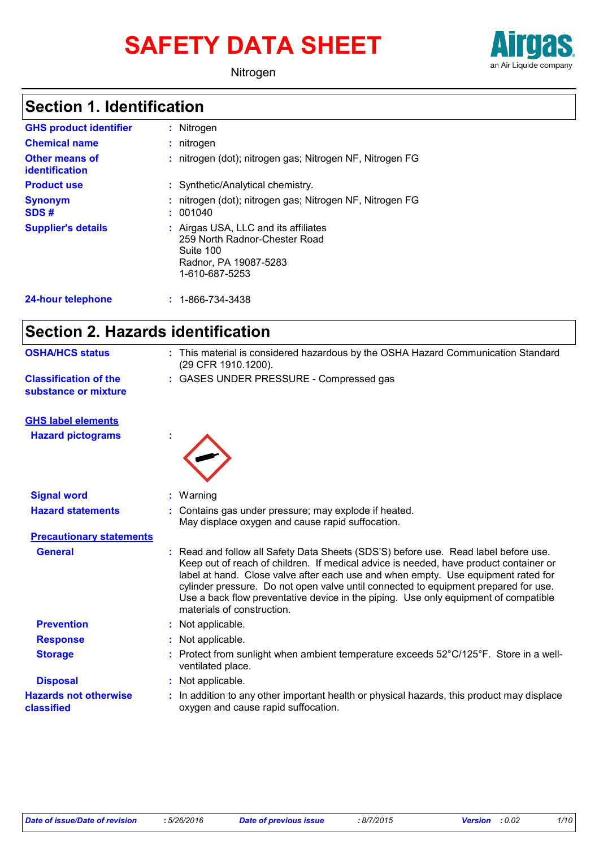# **SAFETY DATA SHEET**



Nitrogen

### **Section 1. Identification**

| <b>GHS product identifier</b><br><b>Chemical name</b> | : Nitrogen<br>: nitrogen                                                                                                      |
|-------------------------------------------------------|-------------------------------------------------------------------------------------------------------------------------------|
| Other means of<br><b>identification</b>               | : nitrogen (dot); nitrogen gas; Nitrogen NF, Nitrogen FG                                                                      |
| <b>Product use</b>                                    | : Synthetic/Analytical chemistry.                                                                                             |
| <b>Synonym</b><br>SDS#                                | : nitrogen (dot); nitrogen gas; Nitrogen NF, Nitrogen FG<br>: 001040                                                          |
| <b>Supplier's details</b>                             | : Airgas USA, LLC and its affiliates<br>259 North Radnor-Chester Road<br>Suite 100<br>Radnor, PA 19087-5283<br>1-610-687-5253 |
| <b>24-hour telephone</b>                              | $: 1 - 866 - 734 - 3438$                                                                                                      |

### **Section 2. Hazards identification**

| : This material is considered hazardous by the OSHA Hazard Communication Standard<br>(29 CFR 1910.1200).                                                                                                                                                                                                                                                                                                                                                                      |
|-------------------------------------------------------------------------------------------------------------------------------------------------------------------------------------------------------------------------------------------------------------------------------------------------------------------------------------------------------------------------------------------------------------------------------------------------------------------------------|
| : GASES UNDER PRESSURE - Compressed gas                                                                                                                                                                                                                                                                                                                                                                                                                                       |
|                                                                                                                                                                                                                                                                                                                                                                                                                                                                               |
|                                                                                                                                                                                                                                                                                                                                                                                                                                                                               |
| : Warning                                                                                                                                                                                                                                                                                                                                                                                                                                                                     |
| : Contains gas under pressure; may explode if heated.<br>May displace oxygen and cause rapid suffocation.                                                                                                                                                                                                                                                                                                                                                                     |
|                                                                                                                                                                                                                                                                                                                                                                                                                                                                               |
| : Read and follow all Safety Data Sheets (SDS'S) before use. Read label before use.<br>Keep out of reach of children. If medical advice is needed, have product container or<br>label at hand. Close valve after each use and when empty. Use equipment rated for<br>cylinder pressure. Do not open valve until connected to equipment prepared for use.<br>Use a back flow preventative device in the piping. Use only equipment of compatible<br>materials of construction. |
| : Not applicable.                                                                                                                                                                                                                                                                                                                                                                                                                                                             |
| : Not applicable.                                                                                                                                                                                                                                                                                                                                                                                                                                                             |
| Protect from sunlight when ambient temperature exceeds 52°C/125°F. Store in a well-<br>ventilated place.                                                                                                                                                                                                                                                                                                                                                                      |
| Not applicable.                                                                                                                                                                                                                                                                                                                                                                                                                                                               |
| In addition to any other important health or physical hazards, this product may displace<br>oxygen and cause rapid suffocation.                                                                                                                                                                                                                                                                                                                                               |
|                                                                                                                                                                                                                                                                                                                                                                                                                                                                               |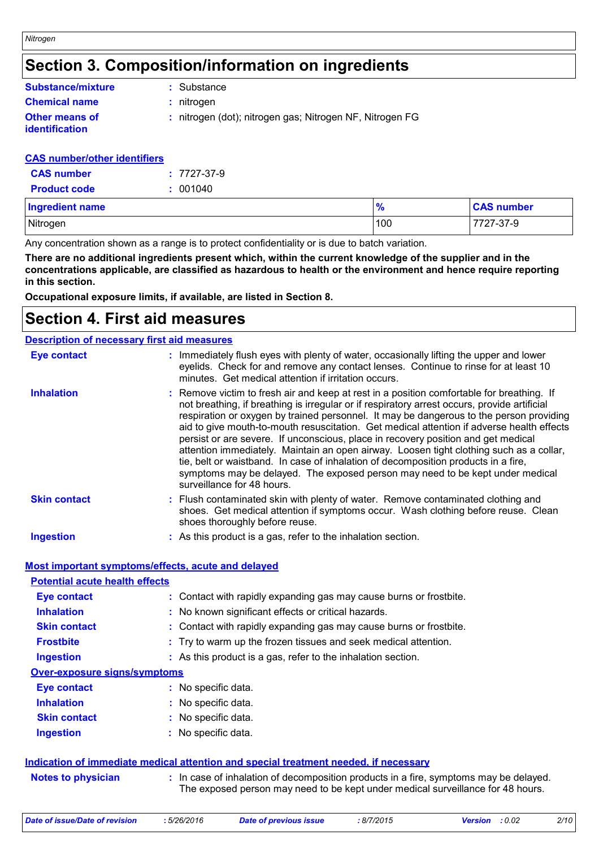### **Section 3. Composition/information on ingredients**

| <b>Substance/mixture</b>                | S.  |
|-----------------------------------------|-----|
| <b>Chemical name</b>                    | : n |
| <b>Other means of</b><br>identification | : n |

**:** Substance

**Chemical name :** nitrogen

**:** nitrogen (dot); nitrogen gas; Nitrogen NF, Nitrogen FG

#### **CAS number/other identifiers**

| <b>CAS</b> number   | $: 7727 - 37 - 9$ |
|---------------------|-------------------|
| <b>Product code</b> | : 001040          |

| <b>Ingredient name</b> | $\bullet$<br>70 | <b>CAS number</b> |
|------------------------|-----------------|-------------------|
| Nitrogen               | 100             | 7727-37-9         |

Any concentration shown as a range is to protect confidentiality or is due to batch variation.

**There are no additional ingredients present which, within the current knowledge of the supplier and in the concentrations applicable, are classified as hazardous to health or the environment and hence require reporting in this section.**

**Occupational exposure limits, if available, are listed in Section 8.**

### **Section 4. First aid measures**

| <b>Description of necessary first aid measures</b> |                                                                                                                                                                                                                                                                                                                                                                                                                                                                                                                                                                                                                                                                                                                                                                        |
|----------------------------------------------------|------------------------------------------------------------------------------------------------------------------------------------------------------------------------------------------------------------------------------------------------------------------------------------------------------------------------------------------------------------------------------------------------------------------------------------------------------------------------------------------------------------------------------------------------------------------------------------------------------------------------------------------------------------------------------------------------------------------------------------------------------------------------|
| <b>Eye contact</b>                                 | : Immediately flush eyes with plenty of water, occasionally lifting the upper and lower<br>eyelids. Check for and remove any contact lenses. Continue to rinse for at least 10<br>minutes. Get medical attention if irritation occurs.                                                                                                                                                                                                                                                                                                                                                                                                                                                                                                                                 |
| <b>Inhalation</b>                                  | : Remove victim to fresh air and keep at rest in a position comfortable for breathing. If<br>not breathing, if breathing is irregular or if respiratory arrest occurs, provide artificial<br>respiration or oxygen by trained personnel. It may be dangerous to the person providing<br>aid to give mouth-to-mouth resuscitation. Get medical attention if adverse health effects<br>persist or are severe. If unconscious, place in recovery position and get medical<br>attention immediately. Maintain an open airway. Loosen tight clothing such as a collar,<br>tie, belt or waistband. In case of inhalation of decomposition products in a fire,<br>symptoms may be delayed. The exposed person may need to be kept under medical<br>surveillance for 48 hours. |
| <b>Skin contact</b>                                | : Flush contaminated skin with plenty of water. Remove contaminated clothing and<br>shoes. Get medical attention if symptoms occur. Wash clothing before reuse. Clean<br>shoes thoroughly before reuse.                                                                                                                                                                                                                                                                                                                                                                                                                                                                                                                                                                |
| <b>Ingestion</b>                                   | : As this product is a gas, refer to the inhalation section.                                                                                                                                                                                                                                                                                                                                                                                                                                                                                                                                                                                                                                                                                                           |

#### **Most important symptoms/effects, acute and delayed**

| <b>Potential acute health effects</b> |                                                                                      |
|---------------------------------------|--------------------------------------------------------------------------------------|
| <b>Eye contact</b>                    | : Contact with rapidly expanding gas may cause burns or frostbite.                   |
| <b>Inhalation</b>                     | : No known significant effects or critical hazards.                                  |
| <b>Skin contact</b>                   | : Contact with rapidly expanding gas may cause burns or frostbite.                   |
| <b>Frostbite</b>                      | : Try to warm up the frozen tissues and seek medical attention.                      |
| <b>Ingestion</b>                      | : As this product is a gas, refer to the inhalation section.                         |
| <b>Over-exposure signs/symptoms</b>   |                                                                                      |
| <b>Eye contact</b>                    | : No specific data.                                                                  |
| <b>Inhalation</b>                     | : No specific data.                                                                  |
| <b>Skin contact</b>                   | : No specific data.                                                                  |
| <b>Ingestion</b>                      | : No specific data.                                                                  |
|                                       |                                                                                      |
|                                       | Indication of immediate medical attention and special treatment needed, if necessary |

**Notes to physician <b>:** In case of inhalation of decomposition products in a fire, symptoms may be delayed. The exposed person may need to be kept under medical surveillance for 48 hours.

*Date of issue/Date of revision* **:** *5/26/2016 Date of previous issue : 8/7/2015 Version : 0.02 2/10*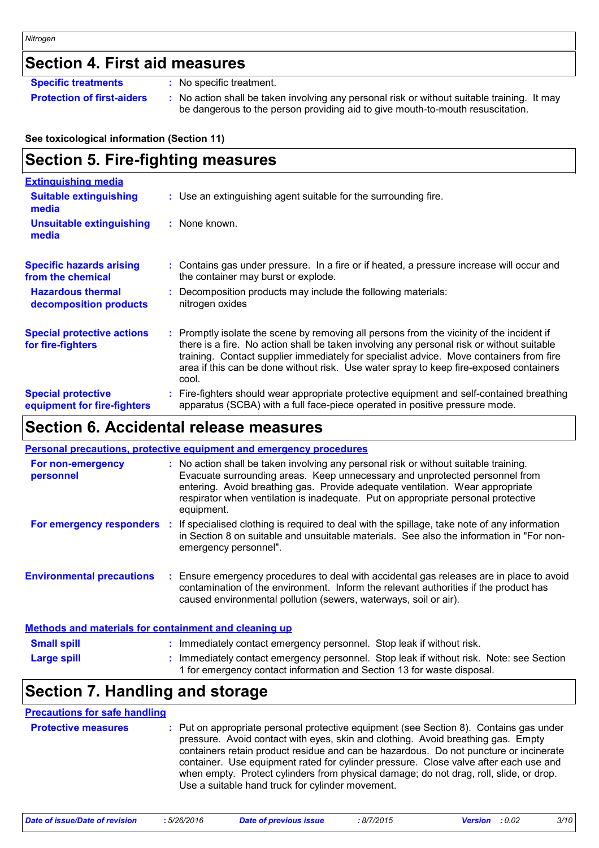### **Section 4. First aid measures**

**Specific treatments :** No specific treatment.

**Protection of first-aiders** : No action shall be taken involving any personal risk or without suitable training. It may be dangerous to the person providing aid to give mouth-to-mouth resuscitation.

#### **See toxicological information (Section 11)**

### **Section 5. Fire-fighting measures**

| <b>Extinguishing media</b>                               |                                                                                                                                                                                                                                                                                                                                                                                    |
|----------------------------------------------------------|------------------------------------------------------------------------------------------------------------------------------------------------------------------------------------------------------------------------------------------------------------------------------------------------------------------------------------------------------------------------------------|
| <b>Suitable extinguishing</b><br>media                   | : Use an extinguishing agent suitable for the surrounding fire.                                                                                                                                                                                                                                                                                                                    |
| <b>Unsuitable extinguishing</b><br>media                 | : None known.                                                                                                                                                                                                                                                                                                                                                                      |
| <b>Specific hazards arising</b><br>from the chemical     | : Contains gas under pressure. In a fire or if heated, a pressure increase will occur and<br>the container may burst or explode.                                                                                                                                                                                                                                                   |
| <b>Hazardous thermal</b><br>decomposition products       | : Decomposition products may include the following materials:<br>nitrogen oxides                                                                                                                                                                                                                                                                                                   |
| <b>Special protective actions</b><br>for fire-fighters   | Promptly isolate the scene by removing all persons from the vicinity of the incident if<br>there is a fire. No action shall be taken involving any personal risk or without suitable<br>training. Contact supplier immediately for specialist advice. Move containers from fire<br>area if this can be done without risk. Use water spray to keep fire-exposed containers<br>cool. |
| <b>Special protective</b><br>equipment for fire-fighters | Fire-fighters should wear appropriate protective equipment and self-contained breathing<br>apparatus (SCBA) with a full face-piece operated in positive pressure mode.                                                                                                                                                                                                             |

### **Section 6. Accidental release measures**

|                                                              | <b>Personal precautions, protective equipment and emergency procedures</b>                                                                                                                                                                                                                                                                              |
|--------------------------------------------------------------|---------------------------------------------------------------------------------------------------------------------------------------------------------------------------------------------------------------------------------------------------------------------------------------------------------------------------------------------------------|
| For non-emergency<br>personnel                               | : No action shall be taken involving any personal risk or without suitable training.<br>Evacuate surrounding areas. Keep unnecessary and unprotected personnel from<br>entering. Avoid breathing gas. Provide adequate ventilation. Wear appropriate<br>respirator when ventilation is inadequate. Put on appropriate personal protective<br>equipment. |
| For emergency responders                                     | : If specialised clothing is required to deal with the spillage, take note of any information<br>in Section 8 on suitable and unsuitable materials. See also the information in "For non-<br>emergency personnel".                                                                                                                                      |
| <b>Environmental precautions</b>                             | : Ensure emergency procedures to deal with accidental gas releases are in place to avoid<br>contamination of the environment. Inform the relevant authorities if the product has<br>caused environmental pollution (sewers, waterways, soil or air).                                                                                                    |
| <b>Methods and materials for containment and cleaning up</b> |                                                                                                                                                                                                                                                                                                                                                         |
| <b>Small snill</b>                                           | . Immediately contact emergency personnel. Stop leak if without risk                                                                                                                                                                                                                                                                                    |

| <b>Small spill</b> | * Immediately contact emergency personnel. Stop leak if without risk.                                                                                             |
|--------------------|-------------------------------------------------------------------------------------------------------------------------------------------------------------------|
| <b>Large spill</b> | : Immediately contact emergency personnel. Stop leak if without risk. Note: see Section<br>1 for emergency contact information and Section 13 for waste disposal. |
|                    |                                                                                                                                                                   |

### **Section 7. Handling and storage**

#### **Precautions for safe handling**

| <b>Protective measures</b> | : Put on appropriate personal protective equipment (see Section 8). Contains gas under<br>pressure. Avoid contact with eyes, skin and clothing. Avoid breathing gas. Empty<br>containers retain product residue and can be hazardous. Do not puncture or incinerate<br>container. Use equipment rated for cylinder pressure. Close valve after each use and<br>when empty. Protect cylinders from physical damage; do not drag, roll, slide, or drop.<br>Use a suitable hand truck for cylinder movement. |
|----------------------------|-----------------------------------------------------------------------------------------------------------------------------------------------------------------------------------------------------------------------------------------------------------------------------------------------------------------------------------------------------------------------------------------------------------------------------------------------------------------------------------------------------------|
|----------------------------|-----------------------------------------------------------------------------------------------------------------------------------------------------------------------------------------------------------------------------------------------------------------------------------------------------------------------------------------------------------------------------------------------------------------------------------------------------------------------------------------------------------|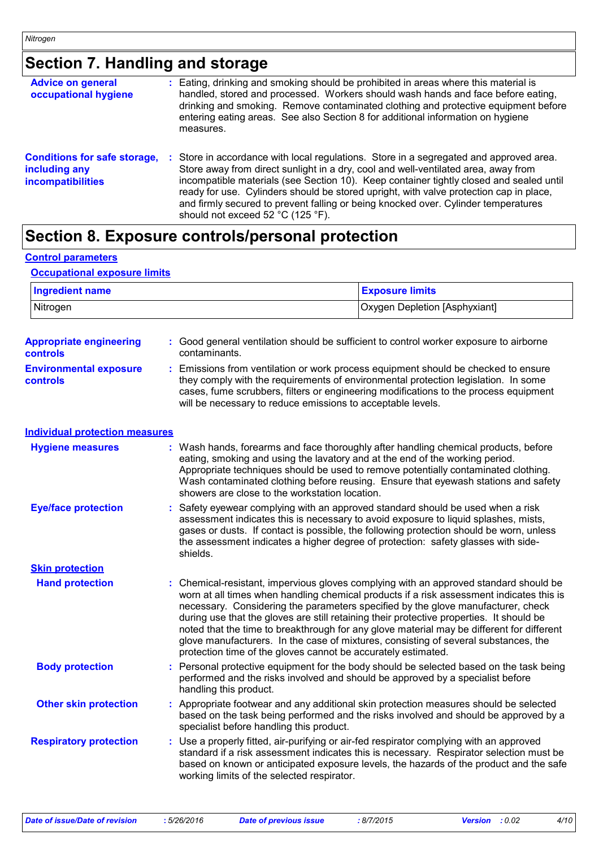## **Section 7. Handling and storage**

| <b>Advice on general</b><br>occupational hygiene                                 | : Eating, drinking and smoking should be prohibited in areas where this material is<br>handled, stored and processed. Workers should wash hands and face before eating,<br>drinking and smoking. Remove contaminated clothing and protective equipment before<br>entering eating areas. See also Section 8 for additional information on hygiene<br>measures.                                                                                                                              |
|----------------------------------------------------------------------------------|--------------------------------------------------------------------------------------------------------------------------------------------------------------------------------------------------------------------------------------------------------------------------------------------------------------------------------------------------------------------------------------------------------------------------------------------------------------------------------------------|
| <b>Conditions for safe storage,</b><br>including any<br><i>incompatibilities</i> | Store in accordance with local regulations. Store in a segregated and approved area.<br>Store away from direct sunlight in a dry, cool and well-ventilated area, away from<br>incompatible materials (see Section 10). Keep container tightly closed and sealed until<br>ready for use. Cylinders should be stored upright, with valve protection cap in place,<br>and firmly secured to prevent falling or being knocked over. Cylinder temperatures<br>should not exceed 52 °C (125 °F). |

### **Section 8. Exposure controls/personal protection**

#### **Control parameters**

#### **Occupational exposure limits**

| <b>Ingredient name</b> | <b>Exposure limits</b>        |  |  |
|------------------------|-------------------------------|--|--|
| Nitrogen               | Oxygen Depletion [Asphyxiant] |  |  |

| <b>Appropriate engineering</b><br>controls       |    | Good general ventilation should be sufficient to control worker exposure to airborne<br>contaminants.                                                                                                                                                                                                                                                                                                                                                                                                                                                                                                                  |
|--------------------------------------------------|----|------------------------------------------------------------------------------------------------------------------------------------------------------------------------------------------------------------------------------------------------------------------------------------------------------------------------------------------------------------------------------------------------------------------------------------------------------------------------------------------------------------------------------------------------------------------------------------------------------------------------|
| <b>Environmental exposure</b><br><b>controls</b> | ÷. | Emissions from ventilation or work process equipment should be checked to ensure<br>they comply with the requirements of environmental protection legislation. In some<br>cases, fume scrubbers, filters or engineering modifications to the process equipment<br>will be necessary to reduce emissions to acceptable levels.                                                                                                                                                                                                                                                                                          |
| <b>Individual protection measures</b>            |    |                                                                                                                                                                                                                                                                                                                                                                                                                                                                                                                                                                                                                        |
| <b>Hygiene measures</b>                          |    | : Wash hands, forearms and face thoroughly after handling chemical products, before<br>eating, smoking and using the lavatory and at the end of the working period.<br>Appropriate techniques should be used to remove potentially contaminated clothing.<br>Wash contaminated clothing before reusing. Ensure that eyewash stations and safety<br>showers are close to the workstation location.                                                                                                                                                                                                                      |
| <b>Eye/face protection</b>                       |    | Safety eyewear complying with an approved standard should be used when a risk<br>assessment indicates this is necessary to avoid exposure to liquid splashes, mists,<br>gases or dusts. If contact is possible, the following protection should be worn, unless<br>the assessment indicates a higher degree of protection: safety glasses with side-<br>shields.                                                                                                                                                                                                                                                       |
| <b>Skin protection</b>                           |    |                                                                                                                                                                                                                                                                                                                                                                                                                                                                                                                                                                                                                        |
| <b>Hand protection</b>                           |    | : Chemical-resistant, impervious gloves complying with an approved standard should be<br>worn at all times when handling chemical products if a risk assessment indicates this is<br>necessary. Considering the parameters specified by the glove manufacturer, check<br>during use that the gloves are still retaining their protective properties. It should be<br>noted that the time to breakthrough for any glove material may be different for different<br>glove manufacturers. In the case of mixtures, consisting of several substances, the<br>protection time of the gloves cannot be accurately estimated. |
| <b>Body protection</b>                           | ÷. | Personal protective equipment for the body should be selected based on the task being<br>performed and the risks involved and should be approved by a specialist before<br>handling this product.                                                                                                                                                                                                                                                                                                                                                                                                                      |
| <b>Other skin protection</b>                     |    | Appropriate footwear and any additional skin protection measures should be selected<br>based on the task being performed and the risks involved and should be approved by a<br>specialist before handling this product.                                                                                                                                                                                                                                                                                                                                                                                                |
| <b>Respiratory protection</b>                    |    | Use a properly fitted, air-purifying or air-fed respirator complying with an approved<br>standard if a risk assessment indicates this is necessary. Respirator selection must be<br>based on known or anticipated exposure levels, the hazards of the product and the safe<br>working limits of the selected respirator.                                                                                                                                                                                                                                                                                               |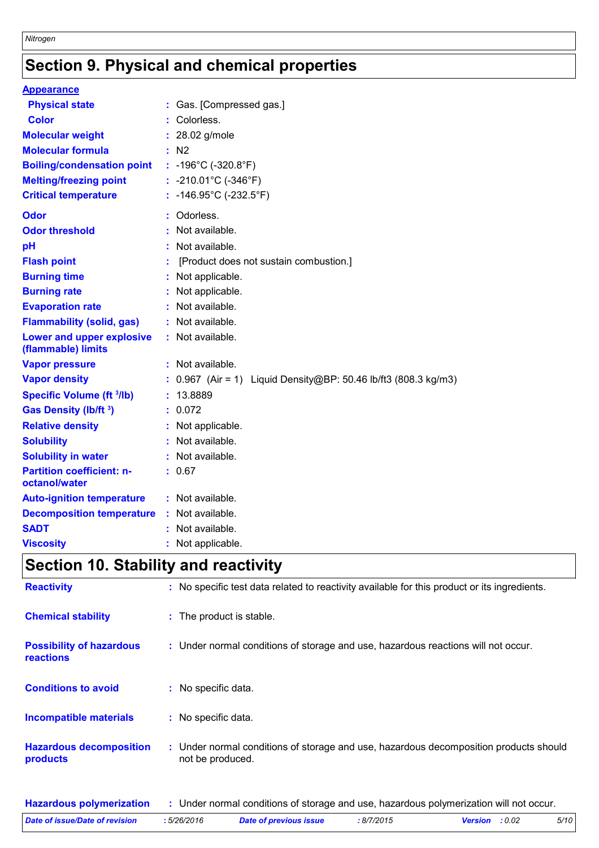# **Section 9. Physical and chemical properties**

| <b>Appearance</b>                                 |                                                                   |
|---------------------------------------------------|-------------------------------------------------------------------|
| <b>Physical state</b>                             | : Gas. [Compressed gas.]                                          |
| <b>Color</b>                                      | Colorless.                                                        |
| <b>Molecular weight</b>                           | : 28.02 g/mole                                                    |
| <b>Molecular formula</b>                          | : N2                                                              |
| <b>Boiling/condensation point</b>                 | : $-196^{\circ}$ C ( $-320.8^{\circ}$ F)                          |
| <b>Melting/freezing point</b>                     | : -210.01 $^{\circ}$ C (-346 $^{\circ}$ F)                        |
| <b>Critical temperature</b>                       | : -146.95°C (-232.5°F)                                            |
| <b>Odor</b>                                       | : Odorless.                                                       |
| <b>Odor threshold</b>                             | Not available.                                                    |
| pH                                                | : Not available.                                                  |
| <b>Flash point</b>                                | [Product does not sustain combustion.]                            |
| <b>Burning time</b>                               | : Not applicable.                                                 |
| <b>Burning rate</b>                               | : Not applicable.                                                 |
| <b>Evaporation rate</b>                           | : Not available.                                                  |
| <b>Flammability (solid, gas)</b>                  | : Not available.                                                  |
| Lower and upper explosive<br>(flammable) limits   | : Not available.                                                  |
| <b>Vapor pressure</b>                             | : Not available.                                                  |
| <b>Vapor density</b>                              | : $0.967$ (Air = 1) Liquid Density@BP: 50.46 lb/ft3 (808.3 kg/m3) |
| <b>Specific Volume (ft 3/lb)</b>                  | : 13.8889                                                         |
| <b>Gas Density (Ib/ft 3)</b>                      | : 0.072                                                           |
| <b>Relative density</b>                           | : Not applicable.                                                 |
| <b>Solubility</b>                                 | : Not available.                                                  |
| <b>Solubility in water</b>                        | : Not available.                                                  |
| <b>Partition coefficient: n-</b><br>octanol/water | : 0.67                                                            |
| <b>Auto-ignition temperature</b>                  | : Not available.                                                  |
| <b>Decomposition temperature</b>                  | : Not available.                                                  |
| <b>SADT</b>                                       | : Not available.                                                  |
| <b>Viscosity</b>                                  | : Not applicable.                                                 |

## **Section 10. Stability and reactivity**

| <b>Reactivity</b>                            | : No specific test data related to reactivity available for this product or its ingredients.              |
|----------------------------------------------|-----------------------------------------------------------------------------------------------------------|
| <b>Chemical stability</b>                    | : The product is stable.                                                                                  |
| <b>Possibility of hazardous</b><br>reactions | : Under normal conditions of storage and use, hazardous reactions will not occur.                         |
| <b>Conditions to avoid</b>                   | : No specific data.                                                                                       |
| Incompatible materials                       | : No specific data.                                                                                       |
| <b>Hazardous decomposition</b><br>products   | : Under normal conditions of storage and use, hazardous decomposition products should<br>not be produced. |

| <b>Hazardous polymerization</b> |             |                               |            | Under normal conditions of storage and use, hazardous polymerization will not occur. |      |
|---------------------------------|-------------|-------------------------------|------------|--------------------------------------------------------------------------------------|------|
| Date of issue/Date of revision  | : 5/26/2016 | <b>Date of previous issue</b> | : 8/7/2015 | <b>Version</b> : 0.02                                                                | 5/10 |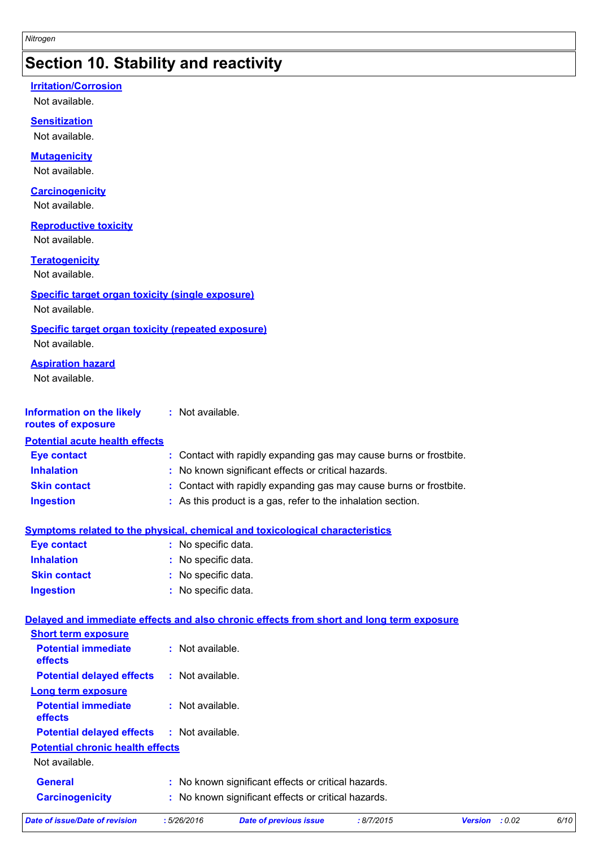### **Section 10. Stability and reactivity**

#### **Irritation/Corrosion**

Not available.

#### **Sensitization**

Not available.

#### **Mutagenicity**

Not available.

#### **Carcinogenicity**

Not available.

#### **Reproductive toxicity**

Not available.

#### **Teratogenicity**

Not available.

#### **Specific target organ toxicity (single exposure)**

Not available.

#### **Specific target organ toxicity (repeated exposure)**

Not available.

#### **Aspiration hazard**

Not available.

#### **Information on the likely routes of exposure :** Not available.

#### **Inhalation :** No known significant effects or critical hazards. **Ingestion :** As this product is a gas, refer to the inhalation section. **Skin contact :** Contact with rapidly expanding gas may cause burns or frostbite. **Eye contact :** Contact with rapidly expanding gas may cause burns or frostbite. **Potential acute health effects**

#### **Symptoms related to the physical, chemical and toxicological characteristics**

| <b>Eye contact</b>  | : No specific data. |
|---------------------|---------------------|
| <b>Inhalation</b>   | : No specific data. |
| <b>Skin contact</b> | : No specific data. |
| <b>Ingestion</b>    | : No specific data. |

### **Delayed and immediate effects and also chronic effects from short and long term exposure**

| <b>Short term exposure</b>              |                                                     |
|-----------------------------------------|-----------------------------------------------------|
| <b>Potential immediate</b><br>effects   | $:$ Not available.                                  |
| <b>Potential delayed effects</b>        | $\therefore$ Not available.                         |
| Long term exposure                      |                                                     |
| <b>Potential immediate</b><br>effects   | : Not available.                                    |
| <b>Potential delayed effects</b>        | : Not available.                                    |
| <b>Potential chronic health effects</b> |                                                     |
| Not available.                          |                                                     |
| <b>General</b>                          | : No known significant effects or critical hazards. |
| <b>Carcinogenicity</b>                  | : No known significant effects or critical hazards. |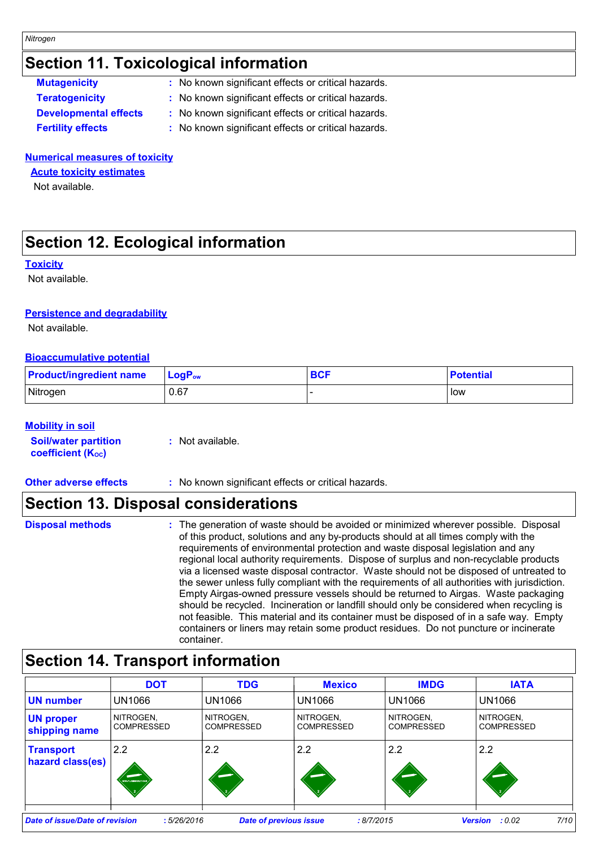### **Section 11. Toxicological information**

| <b>Mutagenicity</b>          | : No known significant effects or critical hazards. |
|------------------------------|-----------------------------------------------------|
| <b>Teratogenicity</b>        | : No known significant effects or critical hazards. |
| <b>Developmental effects</b> | : No known significant effects or critical hazards. |
| <b>Fertility effects</b>     | : No known significant effects or critical hazards. |

#### **Numerical measures of toxicity**

**Acute toxicity estimates**

Not available.

### **Section 12. Ecological information**

#### **Toxicity**

Not available.

#### **Persistence and degradability**

Not available.

#### **Bioaccumulative potential**

| <b>Product/ingredient name</b> | $ $ LogP <sub>ow</sub> | <b>BCF</b> | <b>Potential</b> |
|--------------------------------|------------------------|------------|------------------|
| Nitrogen                       | 0.67                   |            | low              |

#### **Mobility in soil**

| <b>Soil/water partition</b> | : Not available. |
|-----------------------------|------------------|
| <b>coefficient (Koc)</b>    |                  |

**Other adverse effects** : No known significant effects or critical hazards.

### **Section 13. Disposal considerations**

| <b>Disposal methods</b> | : The generation of waste should be avoided or minimized wherever possible. Disposal<br>of this product, solutions and any by-products should at all times comply with the<br>requirements of environmental protection and waste disposal legislation and any<br>regional local authority requirements. Dispose of surplus and non-recyclable products<br>via a licensed waste disposal contractor. Waste should not be disposed of untreated to<br>the sewer unless fully compliant with the requirements of all authorities with jurisdiction.<br>Empty Airgas-owned pressure vessels should be returned to Airgas. Waste packaging<br>should be recycled. Incineration or landfill should only be considered when recycling is<br>not feasible. This material and its container must be disposed of in a safe way. Empty<br>containers or liners may retain some product residues. Do not puncture or incinerate |
|-------------------------|---------------------------------------------------------------------------------------------------------------------------------------------------------------------------------------------------------------------------------------------------------------------------------------------------------------------------------------------------------------------------------------------------------------------------------------------------------------------------------------------------------------------------------------------------------------------------------------------------------------------------------------------------------------------------------------------------------------------------------------------------------------------------------------------------------------------------------------------------------------------------------------------------------------------|
|                         | container.                                                                                                                                                                                                                                                                                                                                                                                                                                                                                                                                                                                                                                                                                                                                                                                                                                                                                                          |

### **Section 14. Transport information**

|                                                                                                                                        | <b>DOT</b>                     | <b>TDG</b>                     | <b>Mexico</b>           | <b>IMDG</b>                    | <b>IATA</b>                    |
|----------------------------------------------------------------------------------------------------------------------------------------|--------------------------------|--------------------------------|-------------------------|--------------------------------|--------------------------------|
| <b>UN</b> number                                                                                                                       | UN1066                         | UN1066                         | <b>UN1066</b>           | <b>UN1066</b>                  | UN1066                         |
| <b>UN proper</b><br>shipping name                                                                                                      | NITROGEN,<br><b>COMPRESSED</b> | NITROGEN,<br><b>COMPRESSED</b> | NITROGEN,<br>COMPRESSED | NITROGEN,<br><b>COMPRESSED</b> | NITROGEN,<br><b>COMPRESSED</b> |
| <b>Transport</b><br>hazard class(es)                                                                                                   | 2.2<br>NON-FLAMMABLE CA        | 2.2                            | 2.2                     | 2.2                            | 2.2                            |
| 7/10<br><b>Date of issue/Date of revision</b><br><b>Date of previous issue</b><br>:5/26/2016<br>: 8/7/2015<br><b>Version</b><br>: 0.02 |                                |                                |                         |                                |                                |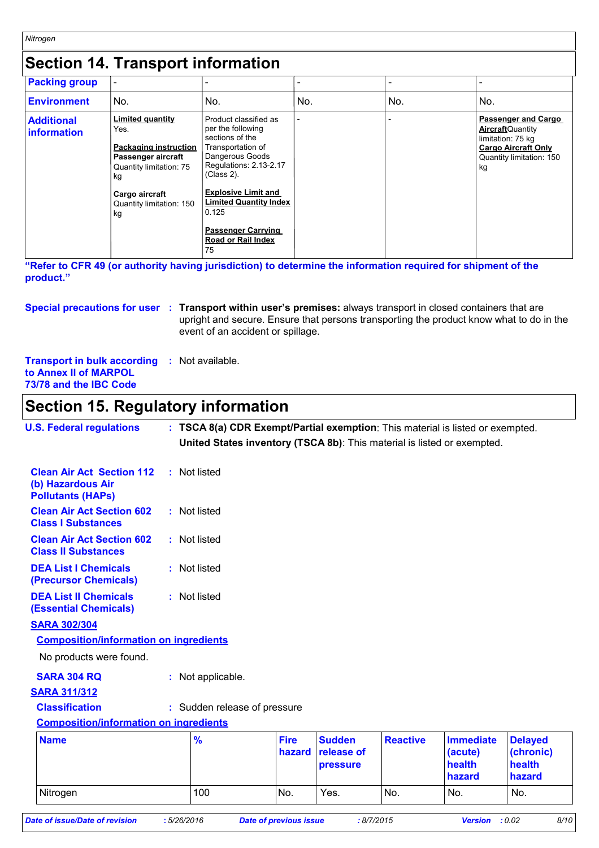### **Section 14. Transport information**

| <b>Packing group</b>             |                                                                                                                                                                            |                                                                                                                                                                                                                                                                                   |     |     |                                                                                                                                             |
|----------------------------------|----------------------------------------------------------------------------------------------------------------------------------------------------------------------------|-----------------------------------------------------------------------------------------------------------------------------------------------------------------------------------------------------------------------------------------------------------------------------------|-----|-----|---------------------------------------------------------------------------------------------------------------------------------------------|
| <b>Environment</b>               | No.                                                                                                                                                                        | No.                                                                                                                                                                                                                                                                               | No. | No. | No.                                                                                                                                         |
| <b>Additional</b><br>information | <b>Limited quantity</b><br>Yes.<br><b>Packaging instruction</b><br>Passenger aircraft<br>Quantity limitation: 75<br>kg<br>Cargo aircraft<br>Quantity limitation: 150<br>kg | Product classified as<br>per the following<br>sections of the<br>Transportation of<br>Dangerous Goods<br>Regulations: 2.13-2.17<br>$(Class 2)$ .<br><b>Explosive Limit and</b><br><b>Limited Quantity Index</b><br>0.125<br><b>Passenger Carrying</b><br>Road or Rail Index<br>75 |     |     | <b>Passenger and Cargo</b><br><b>Aircraft</b> Quantity<br>limitation: 75 kg<br><b>Cargo Aircraft Only</b><br>Quantity limitation: 150<br>kg |

**"Refer to CFR 49 (or authority having jurisdiction) to determine the information required for shipment of the product."** 

#### **Special precautions for user** : Transport within user's premises: always transport in closed containers that are upright and secure. Ensure that persons transporting the product know what to do in the event of an accident or spillage.

**Transport in bulk according :** Not available. **to Annex II of MARPOL 73/78 and the IBC Code**

### **Section 15. Regulatory information**

| <b>U.S. Federal regulations</b>                                                                 | : TSCA 8(a) CDR Exempt/Partial exemption: This material is listed or exempted.<br>United States inventory (TSCA 8b): This material is listed or exempted. |                       |                                         |                 |                                                 |                                                 |
|-------------------------------------------------------------------------------------------------|-----------------------------------------------------------------------------------------------------------------------------------------------------------|-----------------------|-----------------------------------------|-----------------|-------------------------------------------------|-------------------------------------------------|
| <b>Clean Air Act Section 112</b><br>(b) Hazardous Air<br><b>Pollutants (HAPs)</b>               | : Not listed                                                                                                                                              |                       |                                         |                 |                                                 |                                                 |
| <b>Clean Air Act Section 602</b><br><b>Class I Substances</b>                                   | : Not listed                                                                                                                                              |                       |                                         |                 |                                                 |                                                 |
| <b>Clean Air Act Section 602</b><br><b>Class II Substances</b>                                  | : Not listed                                                                                                                                              |                       |                                         |                 |                                                 |                                                 |
| <b>DEA List I Chemicals</b><br>(Precursor Chemicals)                                            | : Not listed                                                                                                                                              |                       |                                         |                 |                                                 |                                                 |
| <b>DEA List II Chemicals</b><br><b>(Essential Chemicals)</b>                                    | : Not listed                                                                                                                                              |                       |                                         |                 |                                                 |                                                 |
| <b>SARA 302/304</b><br><b>Composition/information on ingredients</b><br>No products were found. |                                                                                                                                                           |                       |                                         |                 |                                                 |                                                 |
| <b>SARA 304 RQ</b><br><b>SARA 311/312</b>                                                       | : Not applicable.                                                                                                                                         |                       |                                         |                 |                                                 |                                                 |
| <b>Classification</b><br><b>Composition/information on ingredients</b>                          | : Sudden release of pressure                                                                                                                              |                       |                                         |                 |                                                 |                                                 |
| <b>Name</b>                                                                                     | %                                                                                                                                                         | <b>Fire</b><br>hazard | <b>Sudden</b><br>release of<br>pressure | <b>Reactive</b> | <b>Immediate</b><br>(acute)<br>health<br>hazard | <b>Delayed</b><br>(chronic)<br>health<br>hazard |
| Nitrogen                                                                                        | 100                                                                                                                                                       | No.                   | Yes.                                    | No.             | No.                                             | No.                                             |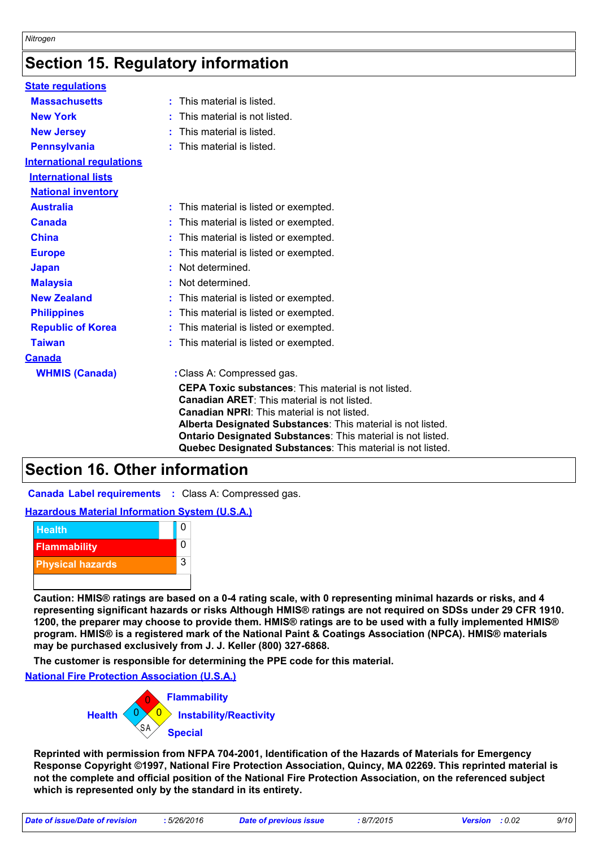### **Section 15. Regulatory information**

| <b>State regulations</b>                                                                                                                                                                                                                                                                                                                                                                              |                                                                                                                                                                                                                                                                                                                                                                                                                                                                                                                                                                                                        |  |  |  |  |
|-------------------------------------------------------------------------------------------------------------------------------------------------------------------------------------------------------------------------------------------------------------------------------------------------------------------------------------------------------------------------------------------------------|--------------------------------------------------------------------------------------------------------------------------------------------------------------------------------------------------------------------------------------------------------------------------------------------------------------------------------------------------------------------------------------------------------------------------------------------------------------------------------------------------------------------------------------------------------------------------------------------------------|--|--|--|--|
| <b>Massachusetts</b>                                                                                                                                                                                                                                                                                                                                                                                  | This material is listed.                                                                                                                                                                                                                                                                                                                                                                                                                                                                                                                                                                               |  |  |  |  |
| <b>New York</b>                                                                                                                                                                                                                                                                                                                                                                                       | This material is not listed.                                                                                                                                                                                                                                                                                                                                                                                                                                                                                                                                                                           |  |  |  |  |
| <b>New Jersey</b>                                                                                                                                                                                                                                                                                                                                                                                     | This material is listed.                                                                                                                                                                                                                                                                                                                                                                                                                                                                                                                                                                               |  |  |  |  |
| <b>Pennsylvania</b>                                                                                                                                                                                                                                                                                                                                                                                   | This material is listed.                                                                                                                                                                                                                                                                                                                                                                                                                                                                                                                                                                               |  |  |  |  |
| <b>International regulations</b>                                                                                                                                                                                                                                                                                                                                                                      |                                                                                                                                                                                                                                                                                                                                                                                                                                                                                                                                                                                                        |  |  |  |  |
| <b>International lists</b>                                                                                                                                                                                                                                                                                                                                                                            |                                                                                                                                                                                                                                                                                                                                                                                                                                                                                                                                                                                                        |  |  |  |  |
| <b>National inventory</b>                                                                                                                                                                                                                                                                                                                                                                             |                                                                                                                                                                                                                                                                                                                                                                                                                                                                                                                                                                                                        |  |  |  |  |
| <b>Australia</b>                                                                                                                                                                                                                                                                                                                                                                                      | : This material is listed or exempted.                                                                                                                                                                                                                                                                                                                                                                                                                                                                                                                                                                 |  |  |  |  |
| <b>Canada</b>                                                                                                                                                                                                                                                                                                                                                                                         | This material is listed or exempted.                                                                                                                                                                                                                                                                                                                                                                                                                                                                                                                                                                   |  |  |  |  |
| <b>China</b>                                                                                                                                                                                                                                                                                                                                                                                          | This material is listed or exempted.                                                                                                                                                                                                                                                                                                                                                                                                                                                                                                                                                                   |  |  |  |  |
| <b>Europe</b>                                                                                                                                                                                                                                                                                                                                                                                         | This material is listed or exempted.                                                                                                                                                                                                                                                                                                                                                                                                                                                                                                                                                                   |  |  |  |  |
| <b>Japan</b>                                                                                                                                                                                                                                                                                                                                                                                          | Not determined.                                                                                                                                                                                                                                                                                                                                                                                                                                                                                                                                                                                        |  |  |  |  |
| <b>Malaysia</b>                                                                                                                                                                                                                                                                                                                                                                                       | Not determined.                                                                                                                                                                                                                                                                                                                                                                                                                                                                                                                                                                                        |  |  |  |  |
| <b>New Zealand</b>                                                                                                                                                                                                                                                                                                                                                                                    | This material is listed or exempted.                                                                                                                                                                                                                                                                                                                                                                                                                                                                                                                                                                   |  |  |  |  |
| <b>Philippines</b>                                                                                                                                                                                                                                                                                                                                                                                    | This material is listed or exempted.                                                                                                                                                                                                                                                                                                                                                                                                                                                                                                                                                                   |  |  |  |  |
| <b>Republic of Korea</b>                                                                                                                                                                                                                                                                                                                                                                              | This material is listed or exempted.                                                                                                                                                                                                                                                                                                                                                                                                                                                                                                                                                                   |  |  |  |  |
| <b>Taiwan</b>                                                                                                                                                                                                                                                                                                                                                                                         | This material is listed or exempted.                                                                                                                                                                                                                                                                                                                                                                                                                                                                                                                                                                   |  |  |  |  |
| <b>Canada</b>                                                                                                                                                                                                                                                                                                                                                                                         |                                                                                                                                                                                                                                                                                                                                                                                                                                                                                                                                                                                                        |  |  |  |  |
| <b>WHMIS (Canada)</b>                                                                                                                                                                                                                                                                                                                                                                                 | : Class A: Compressed gas.                                                                                                                                                                                                                                                                                                                                                                                                                                                                                                                                                                             |  |  |  |  |
|                                                                                                                                                                                                                                                                                                                                                                                                       | <b>Canadian ARET:</b> This material is not listed.<br><b>Canadian NPRI:</b> This material is not listed.<br>Alberta Designated Substances: This material is not listed.<br>Ontario Designated Substances: This material is not listed.<br>Quebec Designated Substances: This material is not listed.                                                                                                                                                                                                                                                                                                   |  |  |  |  |
| <b>Section 16. Other information</b>                                                                                                                                                                                                                                                                                                                                                                  |                                                                                                                                                                                                                                                                                                                                                                                                                                                                                                                                                                                                        |  |  |  |  |
|                                                                                                                                                                                                                                                                                                                                                                                                       | <b>Canada Label requirements : Class A: Compressed gas.</b>                                                                                                                                                                                                                                                                                                                                                                                                                                                                                                                                            |  |  |  |  |
| <b>Hazardous Material Information System (U.S.A.)</b>                                                                                                                                                                                                                                                                                                                                                 |                                                                                                                                                                                                                                                                                                                                                                                                                                                                                                                                                                                                        |  |  |  |  |
| <b>Health</b>                                                                                                                                                                                                                                                                                                                                                                                         | $\mathbf 0$                                                                                                                                                                                                                                                                                                                                                                                                                                                                                                                                                                                            |  |  |  |  |
| <b>Flammability</b>                                                                                                                                                                                                                                                                                                                                                                                   | 0                                                                                                                                                                                                                                                                                                                                                                                                                                                                                                                                                                                                      |  |  |  |  |
|                                                                                                                                                                                                                                                                                                                                                                                                       | 3                                                                                                                                                                                                                                                                                                                                                                                                                                                                                                                                                                                                      |  |  |  |  |
| <b>Physical hazards</b>                                                                                                                                                                                                                                                                                                                                                                               |                                                                                                                                                                                                                                                                                                                                                                                                                                                                                                                                                                                                        |  |  |  |  |
|                                                                                                                                                                                                                                                                                                                                                                                                       | Caution: HMIS® ratings are based on a 0-4 rating scale, with 0 representing minimal hazards or risks, and 4<br>representing significant hazards or risks Although HMIS® ratings are not required on SDSs under 29 CFR 1910.<br>1200, the preparer may choose to provide them. HMIS® ratings are to be used with a fully implemented HMIS®<br>program. HMIS® is a registered mark of the National Paint & Coatings Association (NPCA). HMIS® materials<br>may be purchased exclusively from J. J. Keller (800) 327-6868.<br>The customer is responsible for determining the PPE code for this material. |  |  |  |  |
| <b>National Fire Protection Association (U.S.A.)</b>                                                                                                                                                                                                                                                                                                                                                  |                                                                                                                                                                                                                                                                                                                                                                                                                                                                                                                                                                                                        |  |  |  |  |
|                                                                                                                                                                                                                                                                                                                                                                                                       |                                                                                                                                                                                                                                                                                                                                                                                                                                                                                                                                                                                                        |  |  |  |  |
| <b>Health</b>                                                                                                                                                                                                                                                                                                                                                                                         | <b>Flammability</b><br><b>Instability/Reactivity</b><br><b>Special</b>                                                                                                                                                                                                                                                                                                                                                                                                                                                                                                                                 |  |  |  |  |
| Reprinted with permission from NFPA 704-2001, Identification of the Hazards of Materials for Emergency<br>Response Copyright ©1997, National Fire Protection Association, Quincy, MA 02269. This reprinted material is<br>not the complete and official position of the National Fire Protection Association, on the referenced subject<br>which is represented only by the standard in its entirety. |                                                                                                                                                                                                                                                                                                                                                                                                                                                                                                                                                                                                        |  |  |  |  |

### **Section 16. Other information**

#### **Hazardous Material Information System (U.S.A.)**